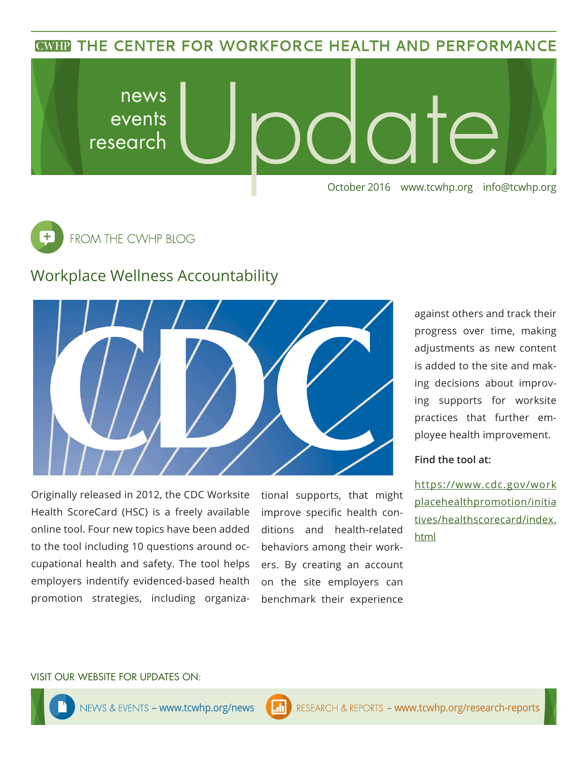**CWHP THE CENTER FOR WORKFORCE HEALTH AND PERFORMANCE** 





## Workplace Wellness Accountability



Originally released in 2012, the CDC Worksite Health ScoreCard (HSC) is a freely available online tool. Four new topics have been added to the tool including 10 questions around occupational health and safety. The tool helps employers indentify evidenced-based health promotion strategies, including organizational supports, that might improve specific health conditions and health-related behaviors among their workers. By creating an account on the site employers can benchmark their experience

against others and track their progress over time, making adjustments as new content is added to the site and making decisions about improving supports for worksite practices that further employee health improvement.

## **Find the tool at:**

https://www.cdc.gov/work placehealthpromotion/initia tives/healthscorecard/index. html

#### VISIT OUR WEBSITE FOR UPDATES ON: